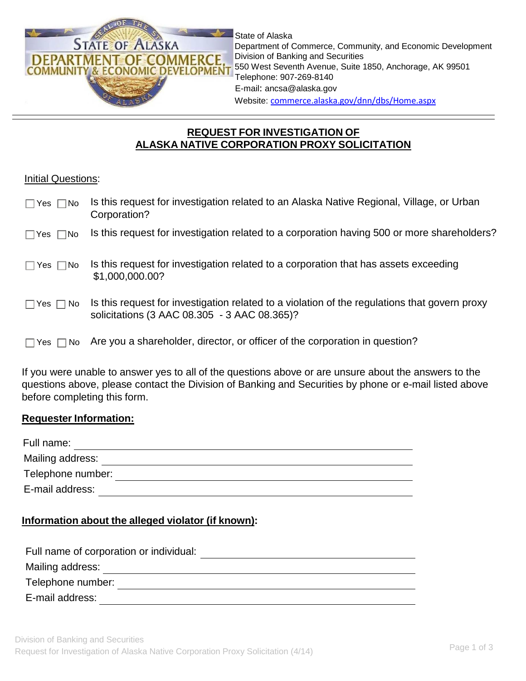

State of Alaska Department of Commerce, Community, and Economic Development Division of Banking and Securities 550 West Seventh Avenue, Suite 1850, Anchorage, AK 99501 Telephone: 907-269-8140 E-mail: [ancsa@alaska.gov](mailto:ancsa@alaska.gov) Website: [commerce.alaska.gov/dnn/dbs/Home.aspx](http://commerce.alaska.gov/dnn/dbs/Home.aspx)

# **REQUEST FOR INVESTIGATION OF ALASKA NATIVE CORPORATION PROXY SOLICITATION**

#### **Initial Questions:**

| Yes $\Box$ No<br>$\mathsf{L}$ | Is this request for investigation related to an Alaska Native Regional, Village, or Urban<br>Corporation?                                     |
|-------------------------------|-----------------------------------------------------------------------------------------------------------------------------------------------|
| $\Box$ Yes $\Box$ No          | Is this request for investigation related to a corporation having 500 or more shareholders?                                                   |
| $\Box$ Yes $\Box$ No          | Is this request for investigation related to a corporation that has assets exceeding<br>\$1,000,000.00?                                       |
| No.<br>$\Box$ Yes $\Box$      | Is this request for investigation related to a violation of the regulations that govern proxy<br>solicitations (3 AAC 08.305 - 3 AAC 08.365)? |
| No.<br>Yes I                  | Are you a shareholder, director, or officer of the corporation in question?                                                                   |

If you were unable to answer yes to all of the questions above or are unsure about the answers to the questions above, please contact the Division of Banking and Securities by phone or e-mail listed above before completing this form.

## **Requester Information:**

| Full name:        |  |
|-------------------|--|
| Mailing address:  |  |
| Telephone number: |  |
| E-mail address:   |  |

## **Information about the alleged violator (if known):**

| Full name of corporation or individual: |  |
|-----------------------------------------|--|
| Mailing address:                        |  |
| Telephone number:                       |  |
| E-mail address:                         |  |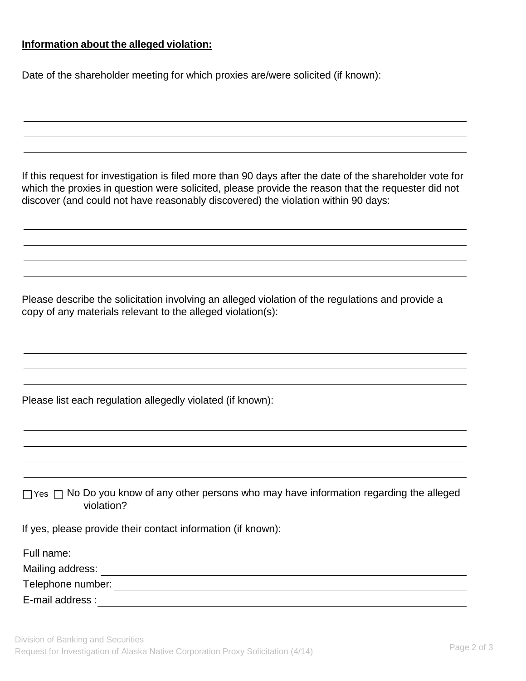#### **Information about the alleged violation:**

Date of the shareholder meeting for which proxies are/were solicited (if known):

If this request for investigation is filed more than 90 days after the date of the shareholder vote for which the proxies in question were solicited, please provide the reason that the requester did not discover (and could not have reasonably discovered) the violation within 90 days:

Please describe the solicitation involving an alleged violation of the regulations and provide a copy of any materials relevant to the alleged violation(s):

Please list each regulation allegedly violated (if known):

 $\Box$  Yes  $\Box$  No Do you know of any other persons who may have information regarding the alleged violation?

If yes, please provide their contact information (if known):

| Full name:        |  |
|-------------------|--|
| Mailing address:  |  |
| Telephone number: |  |
| E-mail address :  |  |